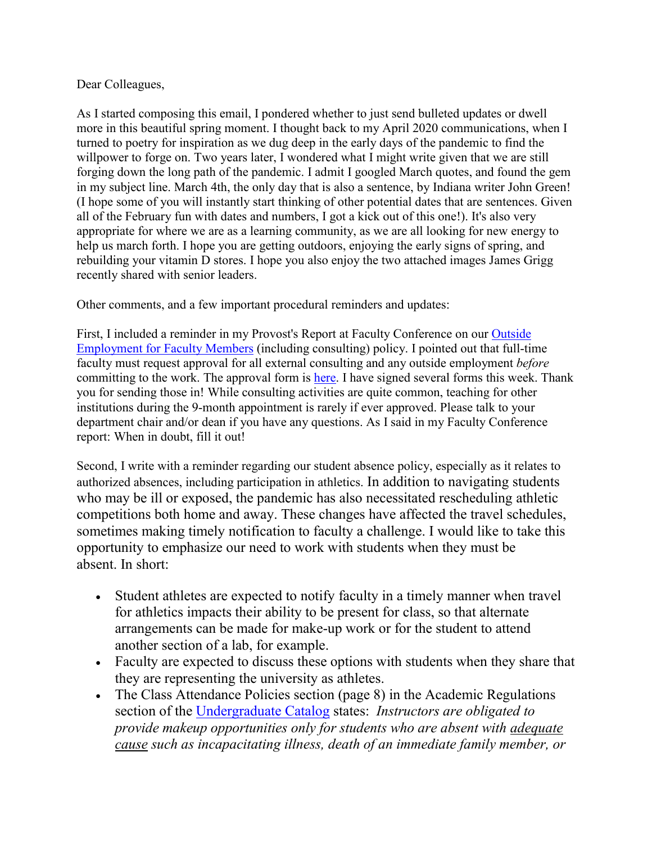## Dear Colleagues,

As I started composing this email, I pondered whether to just send bulleted updates or dwell more in this beautiful spring moment. I thought back to my April 2020 communications, when I turned to poetry for inspiration as we dug deep in the early days of the pandemic to find the willpower to forge on. Two years later, I wondered what I might write given that we are still forging down the long path of the pandemic. I admit I googled March quotes, and found the gem in my subject line. March 4th, the only day that is also a sentence, by Indiana writer John Green! (I hope some of you will instantly start thinking of other potential dates that are sentences. Given all of the February fun with dates and numbers, I got a kick out of this one!). It's also very appropriate for where we are as a learning community, as we are all looking for new energy to help us march forth. I hope you are getting outdoors, enjoying the early signs of spring, and rebuilding your vitamin D stores. I hope you also enjoy the two attached images James Grigg recently shared with senior leaders.

Other comments, and a few important procedural reminders and updates:

First, I included a reminder in my Provost's Report at Faculty Conference on our [Outside](https://apps.winthrop.edu/policyrepository/Policy/FullPolicy?PID=262)  [Employment for Faculty Members](https://apps.winthrop.edu/policyrepository/Policy/FullPolicy?PID=262) (including consulting) policy. I pointed out that full-time faculty must request approval for all external consulting and any outside employment *before* committing to the work. The approval form is [here.](https://www.winthrop.edu/uploadedFiles/academics/ConsultingOutsideEmployment.pdf) I have signed several forms this week. Thank you for sending those in! While consulting activities are quite common, teaching for other institutions during the 9-month appointment is rarely if ever approved. Please talk to your department chair and/or dean if you have any questions. As I said in my Faculty Conference report: When in doubt, fill it out!

Second, I write with a reminder regarding our student absence policy, especially as it relates to authorized absences, including participation in athletics. In addition to navigating students who may be ill or exposed, the pandemic has also necessitated rescheduling athletic competitions both home and away. These changes have affected the travel schedules, sometimes making timely notification to faculty a challenge. I would like to take this opportunity to emphasize our need to work with students when they must be absent. In short:

- Student athletes are expected to notify faculty in a timely manner when travel for athletics impacts their ability to be present for class, so that alternate arrangements can be made for make-up work or for the student to attend another section of a lab, for example.
- Faculty are expected to discuss these options with students when they share that they are representing the university as athletes.
- The Class Attendance Policies section (page 8) in the Academic Regulations section of the [Undergraduate Catalog](https://www.winthrop.edu/uploadedFiles/recandreg/Catalogs/21-22/2021-2022-ug-catalog.pdf) states: *Instructors are obligated to provide makeup opportunities only for students who are absent with adequate cause such as incapacitating illness, death of an immediate family member, or*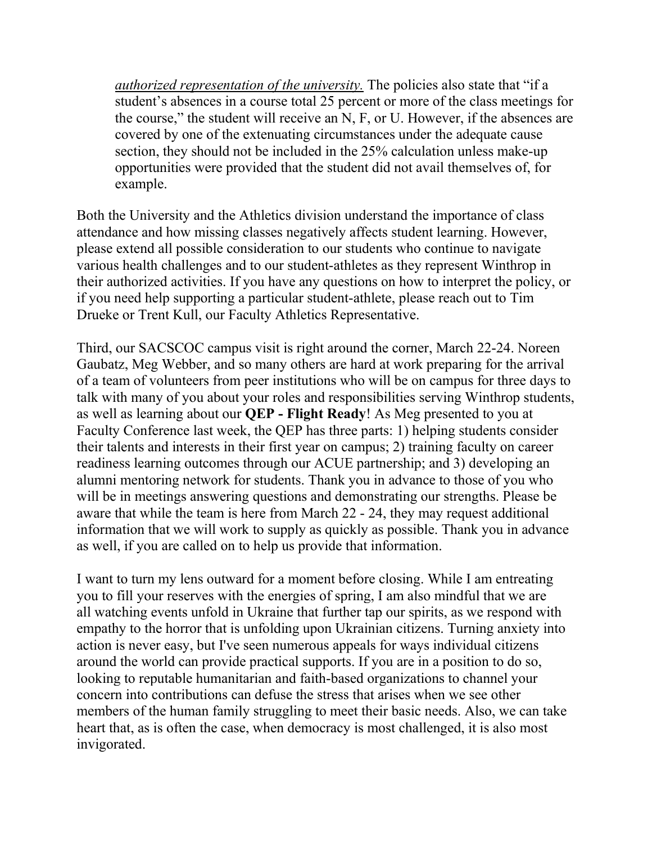*authorized representation of the university.* The policies also state that "if a student's absences in a course total 25 percent or more of the class meetings for the course," the student will receive an N, F, or U. However, if the absences are covered by one of the extenuating circumstances under the adequate cause section, they should not be included in the 25% calculation unless make-up opportunities were provided that the student did not avail themselves of, for example.

Both the University and the Athletics division understand the importance of class attendance and how missing classes negatively affects student learning. However, please extend all possible consideration to our students who continue to navigate various health challenges and to our student-athletes as they represent Winthrop in their authorized activities. If you have any questions on how to interpret the policy, or if you need help supporting a particular student-athlete, please reach out to Tim Drueke or Trent Kull, our Faculty Athletics Representative.

Third, our SACSCOC campus visit is right around the corner, March 22-24. Noreen Gaubatz, Meg Webber, and so many others are hard at work preparing for the arrival of a team of volunteers from peer institutions who will be on campus for three days to talk with many of you about your roles and responsibilities serving Winthrop students, as well as learning about our **QEP - Flight Ready**! As Meg presented to you at Faculty Conference last week, the QEP has three parts: 1) helping students consider their talents and interests in their first year on campus; 2) training faculty on career readiness learning outcomes through our ACUE partnership; and 3) developing an alumni mentoring network for students. Thank you in advance to those of you who will be in meetings answering questions and demonstrating our strengths. Please be aware that while the team is here from March 22 - 24, they may request additional information that we will work to supply as quickly as possible. Thank you in advance as well, if you are called on to help us provide that information.

I want to turn my lens outward for a moment before closing. While I am entreating you to fill your reserves with the energies of spring, I am also mindful that we are all watching events unfold in Ukraine that further tap our spirits, as we respond with empathy to the horror that is unfolding upon Ukrainian citizens. Turning anxiety into action is never easy, but I've seen numerous appeals for ways individual citizens around the world can provide practical supports. If you are in a position to do so, looking to reputable humanitarian and faith-based organizations to channel your concern into contributions can defuse the stress that arises when we see other members of the human family struggling to meet their basic needs. Also, we can take heart that, as is often the case, when democracy is most challenged, it is also most invigorated.